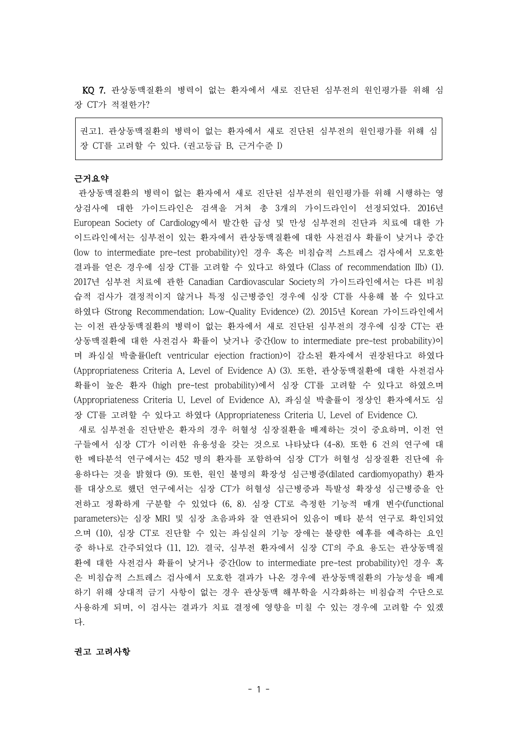KQ 7. 관상동맥질환의 병력이 없는 환자에서 새로 진단된 심부전의 원인평가를 위해 심 장 CT가 적절한가?

권고1. 관상동맥질환의 병력이 없는 환자에서 새로 진단된 심부전의 원인평가를 위해 심 장 CT를 고려할 수 있다. (권고등급 B, 근거수준 I)

### 근거요약

관상동맥질환의 병력이 없는 환자에서 새로 진단된 심부전의 원인평가를 위해 시행하는 영 상검사에 대한 가이드라인은 검색을 거쳐 총 3개의 가이드라인이 선정되었다. 2016년 European Society of Cardiology에서 발간한 급성 및 만성 심부전의 진단과 치료에 대한 가 이드라인에서는 심부전이 있는 환자에서 관상동맥질환에 대한 사전검사 확률이 낮거나 중간 (low to intermediate pre-test probability)인 경우 혹은 비침습적 스트레스 검사에서 모호한 결과를 얻은 경우에 심장 CT를 고려할 수 있다고 하였다 (Class of recommendation IIb) (1). 2017년 심부전 치료에 관한 Canadian Cardiovascular Society의 가이드라인에서는 다른 비침 습적 검사가 결정적이지 않거나 특정 심근병증인 경우에 심장 CT를 사용해 볼 수 있다고 하였다 (Strong Recommendation; Low-Quality Evidence) (2). 2015년 Korean 가이드라인에서 는 이전 관상동맥질환의 병력이 없는 환자에서 새로 진단된 심부전의 경우에 심장 CT는 관 상동맥질환에 대한 사전검사 확률이 낮거나 중간(low to intermediate pre-test probability)이 며 좌심실 박출률(left ventricular ejection fraction)이 감소된 환자에서 권장된다고 하였다 (Appropriateness Criteria A, Level of Evidence A) (3). 또한, 관상동맥질환에 대한 사전검사 확률이 높은 환자 (high pre-test probability)에서 심장 CT를 고려할 수 있다고 하였으며 (Appropriateness Criteria U, Level of Evidence A), 좌심실 박출률이 정상인 환자에서도 심 장 CT를 고려할 수 있다고 하였다 (Appropriateness Criteria U, Level of Evidence C).

새로 심부전을 진단받은 환자의 경우 허혈성 심장질환을 배제하는 것이 중요하며, 이전 연 구들에서 심장 CT가 이러한 유용성을 갖는 것으로 나타났다 (4-8). 또한 6 건의 연구에 대 한 메타분석 연구에서는 452 명의 환자를 포함하여 심장 CT가 허혈성 심장질환 진단에 유 용하다는 것을 밝혔다 (9). 또한, 원인 불명의 확장성 심근병증(dilated cardiomyopathy) 환자 를 대상으로 했던 연구에서는 심장 CT가 허혈성 심근병증과 특발성 확장성 심근병증을 안 전하고 정확하게 구분할 수 있었다 (6, 8). 심장 CT로 측정한 기능적 매개 변수(functional parameters)는 심장 MRI 및 심장 초음파와 잘 연관되어 있음이 메타 분석 연구로 확인되었 으며 (10), 심장 CT로 진단할 수 있는 좌심실의 기능 장애는 불량한 예후를 예측하는 요인 중 하나로 간주되었다 (11, 12). 결국, 심부전 환자에서 심장 CT의 주요 용도는 관상동맥질 환에 대한 사전검사 확률이 낮거나 중간(low to intermediate pre-test probability)인 경우 혹 은 비침습적 스트레스 검사에서 모호한 결과가 나온 경우에 관상동맥질환의 가능성을 배제 하기 위해 상대적 금기 사항이 없는 경우 관상동맥 해부학을 시각화하는 비침습적 수단으로 사용하게 되며, 이 검사는 결과가 치료 결정에 영향을 미칠 수 있는 경우에 고려할 수 있겠 다.

### 권고 고려사항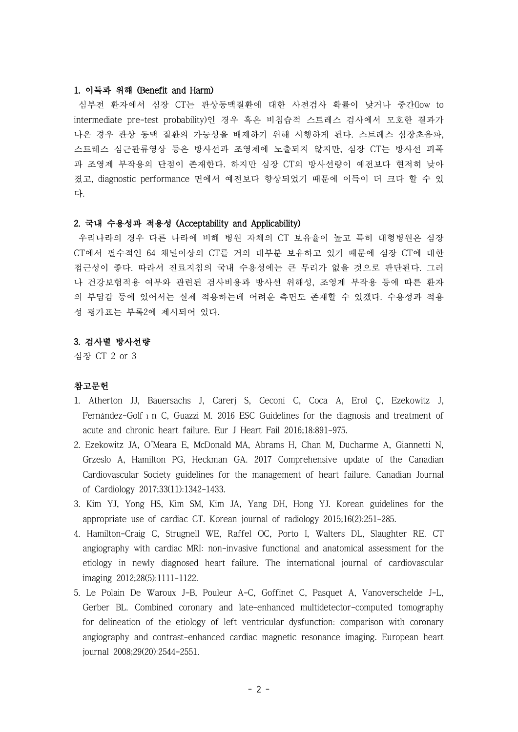### 1. 이득과 위해 (Benefit and Harm)

심부전 환자에서 심장 CT는 관상동맥질환에 대한 사전검사 확률이 낮거나 중간(low to intermediate pre-test probability)인 경우 혹은 비침습적 스트레스 검사에서 모호한 결과가 나온 경우 관상 동맥 질환의 가능성을 배제하기 위해 시행하게 된다. 스트레스 심장초음파, 스트레스 심근관류영상 등은 방사선과 조영제에 노출되지 않지만, 심장 CT는 방사선 피폭 과 조영제 부작용의 단점이 존재한다. 하지만 심장 CT의 방사선량이 예전보다 현저히 낮아 졌고, diagnostic performance 면에서 예전보다 향상되었기 때문에 이득이 더 크다 할 수 있 다.

## 2. 국내 수용성과 적용성 (Acceptability and Applicability)

우리나라의 경우 다른 나라에 비해 병원 자체의 CT 보유율이 높고 특히 대형병원은 심장 CT에서 필수적인 64 채널이상의 CT를 거의 대부분 보유하고 있기 때문에 심장 CT에 대한 접근성이 좋다. 따라서 진료지침의 국내 수용성에는 큰 무리가 없을 것으로 판단된다. 그러 나 건강보험적용 여부와 관련된 검사비용과 방사선 위해성, 조영제 부작용 등에 따른 환자 의 부담감 등에 있어서는 실제 적용하는데 어려운 측면도 존재할 수 있겠다. 수용성과 적용 성 평가표는 부록2에 제시되어 있다.

### 3. 검사별 방사선량

심장 CT 2 or 3

# 참고문헌

- 1. Atherton JJ, Bauersachs J, Carerj S, Ceconi C, Coca A, Erol Ç, Ezekowitz J, Fernández-Golf 1 n C, Guazzi M. 2016 ESC Guidelines for the diagnosis and treatment of acute and chronic heart failure. Eur J Heart Fail 2016;18:891-975.
- 2. Ezekowitz JA, O'Meara E, McDonald MA, Abrams H, Chan M, Ducharme A, Giannetti N, Grzeslo A, Hamilton PG, Heckman GA. 2017 Comprehensive update of the Canadian Cardiovascular Society guidelines for the management of heart failure. Canadian Journal of Cardiology 2017;33(11):1342-1433.
- 3. Kim YJ, Yong HS, Kim SM, Kim JA, Yang DH, Hong YJ. Korean guidelines for the appropriate use of cardiac CT. Korean journal of radiology 2015;16(2):251-285.
- 4. Hamilton-Craig C, Strugnell WE, Raffel OC, Porto I, Walters DL, Slaughter RE. CT angiography with cardiac MRI: non-invasive functional and anatomical assessment for the etiology in newly diagnosed heart failure. The international journal of cardiovascular imaging 2012;28(5):1111-1122.
- 5. Le Polain De Waroux J-B, Pouleur A-C, Goffinet C, Pasquet A, Vanoverschelde J-L, Gerber BL. Combined coronary and late-enhanced multidetector-computed tomography for delineation of the etiology of left ventricular dysfunction: comparison with coronary angiography and contrast-enhanced cardiac magnetic resonance imaging. European heart journal 2008;29(20):2544-2551.